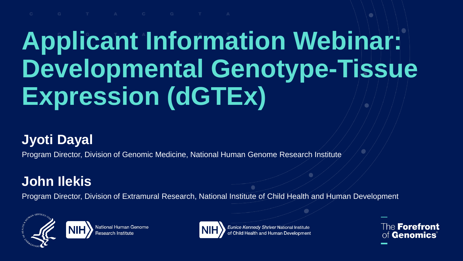### **Applicant Information Webinar: Developmental Genotype-Tissue Expression (dGTEx)**

#### **Jyoti Dayal**

Program Director, Division of Genomic Medicine, National Human Genome Research Institute

#### **John Ilekis**

Program Director, Division of Extramural Research, National Institute of Child Health and Human Development





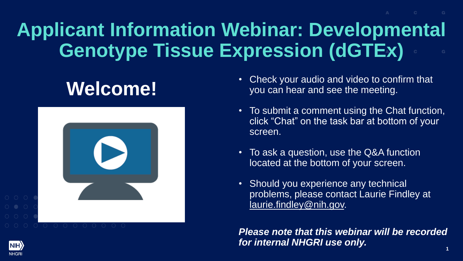### **Applicant Information Webinar: Developmental Genotype Tissue Expression (dGTEx)**

### **Welcome!**



- Check your audio and video to confirm that you can hear and see the meeting.
- To submit a comment using the Chat function, click "Chat" on the task bar at bottom of your screen.
- To ask a question, use the Q&A function located at the bottom of your screen.
- Should you experience any technical problems, please contact Laurie Findley at [laurie.findley@nih.gov.](mailto:laurie.Findley@nih.gov)

**1** *Please note that this webinar will be recorded for internal NHGRI use only.*

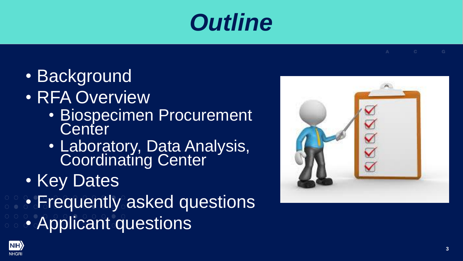### *Outline*

- Background
- RFA Overview
	- Biospecimen Procurement **Center**
	- Laboratory, Data Analysis, Coordinating Center
- Key Dates
- Frequently asked questions
- Applicant questions



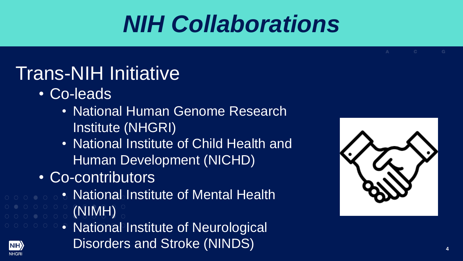### *NIH Collaborations*

### Trans-NIH Initiative

• Co-leads

**NIH NHGR** 

- National Human Genome Research Institute (NHGRI)
- National Institute of Child Health and Human Development (NICHD)
- Co-contributors
- National Institute of Mental Health (NIMH)
	- National Institute of Neurological Disorders and Stroke (NINDS) **4**

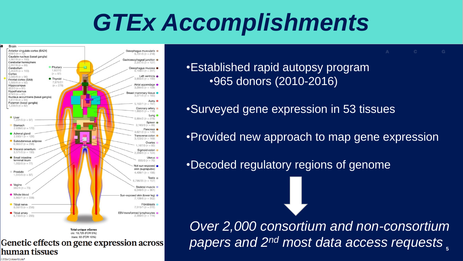### *GTEx Accomplishments*



•Established rapid autopsy program •965 donors (2010-2016)

•Surveyed gene expression in 53 tissues

•Provided new approach to map gene expression

•Decoded regulatory regions of genome

**5** *papers and 2nd most data access requestsOver 2,000 consortium and non-consortium* 

**GTEx Consortium\*** 

human tissues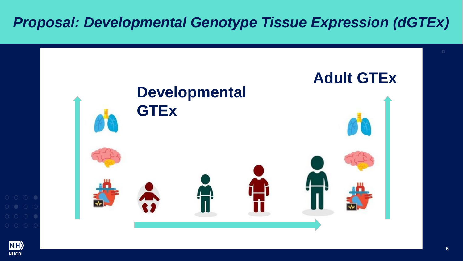#### *Proposal: Developmental Genotype Tissue Expression (dGTEx)*

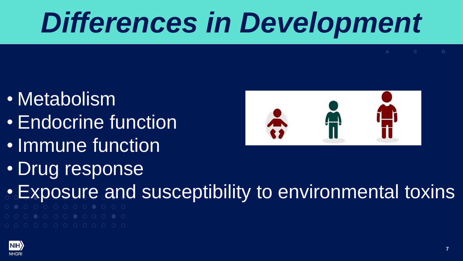# *Differences in Development*

- Metabolism
- Endocrine function
- Immune function
- Drug response

- Exposure and susceptibility to environmental toxins
- 

![](_page_6_Picture_9.jpeg)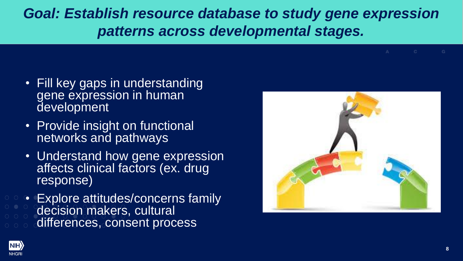#### **Goal: Establish resource database to study gene expression** *patterns across developmental stages.*

- Fill key gaps in understanding gene expression in human development
- Provide insight on functional networks and pathways
- Understand how gene expression affects clinical factors (ex. drug response)
- Explore attitudes/concerns family decision makers, cultural differences, consent process

![](_page_7_Picture_5.jpeg)

![](_page_7_Picture_6.jpeg)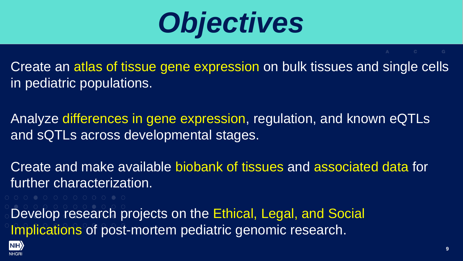![](_page_8_Picture_0.jpeg)

Create an atlas of tissue gene expression on bulk tissues and single cells in pediatric populations.

Analyze differences in gene expression, regulation, and known eQTLs and sQTLs across developmental stages.

Create and make available biobank of tissues and associated data for further characterization.

Develop research projects on the Ethical, Legal, and Social Implications of post-mortem pediatric genomic research.

![](_page_8_Picture_7.jpeg)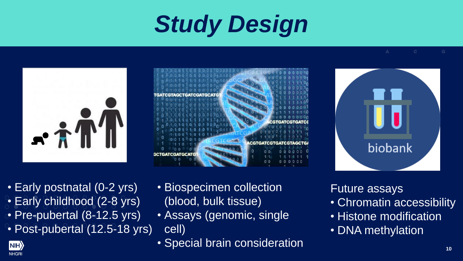### *Study Design*

![](_page_9_Picture_1.jpeg)

![](_page_9_Picture_2.jpeg)

![](_page_9_Picture_3.jpeg)

• Early postnatal (0-2 yrs) • Early childhood (2-8 yrs) • Pre-pubertal (8-12.5 yrs) • Post-pubertal (12.5-18 yrs)

NIH<sub>></sub> **NHGRI** 

- Biospecimen collection (blood, bulk tissue)
- Assays (genomic, single cell)
- Special brain consideration **100 mm**<sub>10</sub>

Future assays

- Chromatin accessibility
- Histone modification
- DNA methylation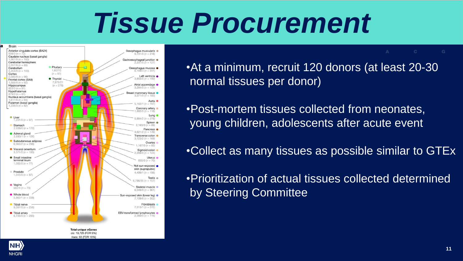### *Tissue Procurement*

![](_page_10_Figure_1.jpeg)

cis: 19,725 (FDR 5%) trans: 93 (FDR 10%)

•At a minimum, recruit 120 donors (at least 20-30 normal tissues per donor)

•Post-mortem tissues collected from neonates, young children, adolescents after acute event

•Collect as many tissues as possible similar to GTEx

•Prioritization of actual tissues collected determined by Steering Committee

![](_page_10_Picture_7.jpeg)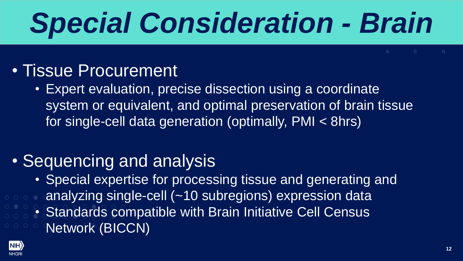# *Special Consideration - Brain*

#### • Tissue Procurement

• Expert evaluation, precise dissection using a coordinate system or equivalent, and optimal preservation of brain tissue for single-cell data generation (optimally, PMI < 8hrs)

#### • Sequencing and analysis

- Special expertise for processing tissue and generating and
- analyzing single-cell (~10 subregions) expression data
	- Standards compatible with Brain Initiative Cell Census
- Network (BICCN)

![](_page_11_Picture_8.jpeg)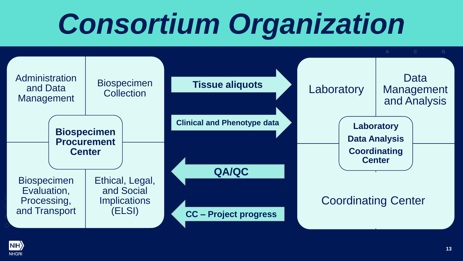# *Consortium Organization*

![](_page_12_Figure_1.jpeg)

![](_page_12_Picture_2.jpeg)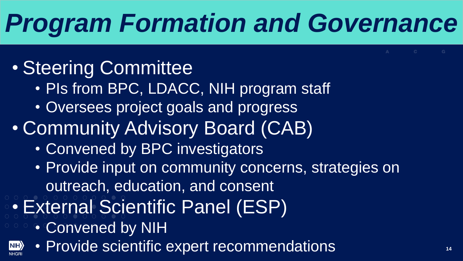### *Program Formation and Governance*

### • Steering Committee

- PIs from BPC, LDACC, NIH program staff
- Oversees project goals and progress
- Community Advisory Board (CAB)
	- Convened by BPC investigators
	- Provide input on community concerns, strategies on outreach, education, and consent
- External Scientific Panel (ESP)
	- Convened by NIH

 $|\text{NH}\rangle$ 

• Provide scientific expert recommendations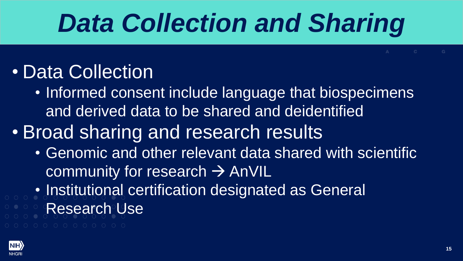### *Data Collection and Sharing*

### • Data Collection

- Informed consent include language that biospecimens and derived data to be shared and deidentified
- **Broad sharing and research results** 
	- Genomic and other relevant data shared with scientific community for research  $\rightarrow$  AnVIL
- Institutional certification designated as General Research Use
- 

![](_page_14_Picture_7.jpeg)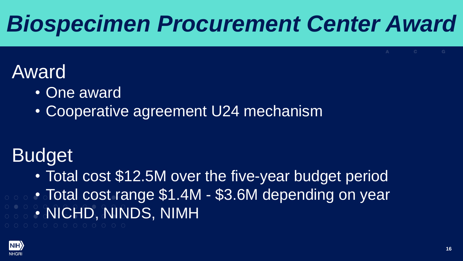### Award

- One award
- Cooperative agreement U24 mechanism

#### Lank<br>Lenk Budget

roo, rand • Total cost \$12.5M over the five-year budget period • Total cost range \$1.4M - \$3.6M depending on year • NICHD, NINDS, NIMH

![](_page_15_Picture_6.jpeg)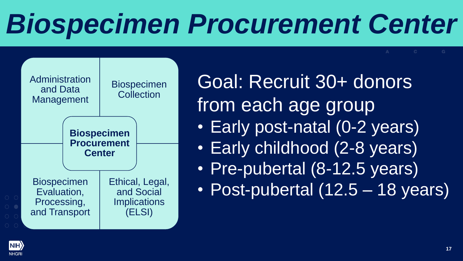![](_page_16_Figure_1.jpeg)

Goal: Recruit 30+ donors from each age group • Early post-natal (0-2 years) • Early childhood (2-8 years) • Pre-pubertal (8-12.5 years)

• Post-pubertal (12.5 – 18 years)

![](_page_16_Picture_4.jpeg)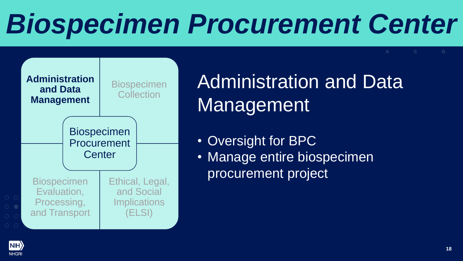![](_page_17_Figure_1.jpeg)

Administration and Data Management

- Oversight for BPC
- Manage entire biospecimen procurement project

![](_page_17_Picture_5.jpeg)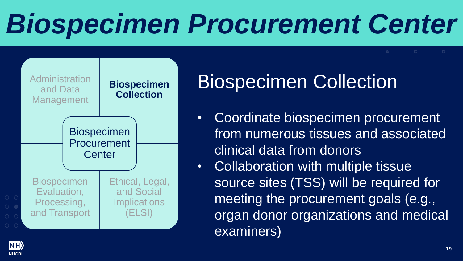![](_page_18_Figure_1.jpeg)

### **Biospecimen Collection**

- Coordinate biospecimen procurement from numerous tissues and associated clinical data from donors
- Collaboration with multiple tissue source sites (TSS) will be required for meeting the procurement goals (e.g., organ donor organizations and medical examiners)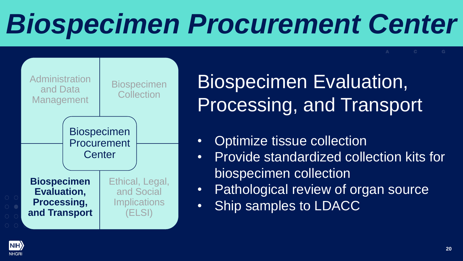![](_page_19_Figure_1.jpeg)

Biospecimen Evaluation, Processing, and Transport

- Optimize tissue collection
- Provide standardized collection kits for biospecimen collection
- Pathological review of organ source
- Ship samples to LDACC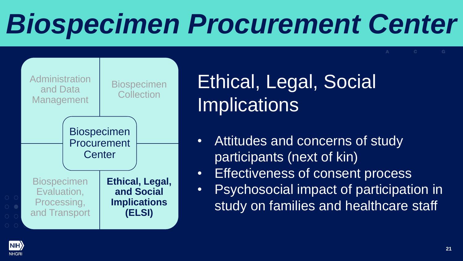![](_page_20_Figure_1.jpeg)

Ethical, Legal, Social **Implications** 

- Attitudes and concerns of study participants (next of kin)
- Effectiveness of consent process
- Psychosocial impact of participation in study on families and healthcare staff

![](_page_20_Picture_6.jpeg)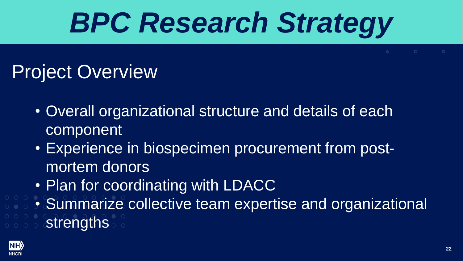### Project Overview

- Overall organizational structure and details of each component
- Experience in biospecimen procurement from postmortem donors
- Plan for coordinating with LDACC
- Summarize collective team expertise and organizational **strengths**

![](_page_21_Picture_6.jpeg)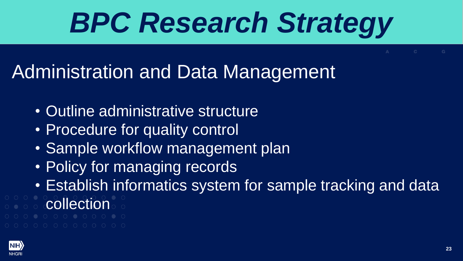### Administration and Data Management

- Outline administrative structure
- Procedure for quality control
- Sample workflow management plan
- Policy for managing records
- Establish informatics system for sample tracking and data
- collection
- 
- 

![](_page_22_Picture_10.jpeg)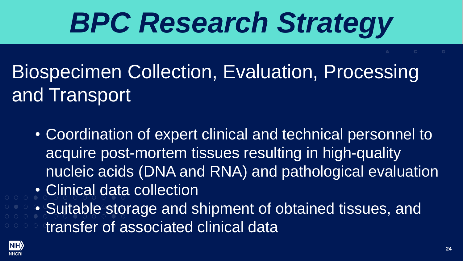### Biospecimen Collection, Evaluation, Processing and Transport

- Coordination of expert clinical and technical personnel to acquire post-mortem tissues resulting in high-quality nucleic acids (DNA and RNA) and pathological evaluation
- Clinical data collection
- Suitable storage and shipment of obtained tissues, and transfer of associated clinical data

![](_page_23_Picture_5.jpeg)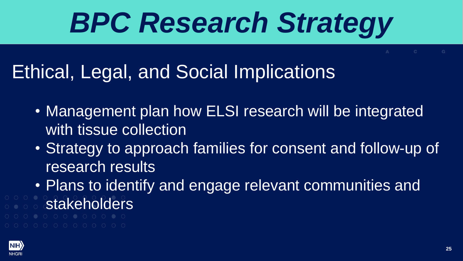### Ethical, Legal, and Social Implications

- Management plan how ELSI research will be integrated with tissue collection
- Strategy to approach families for consent and follow-up of research results
- Plans to identify and engage relevant communities and
- stakeholders
- 

![](_page_24_Picture_7.jpeg)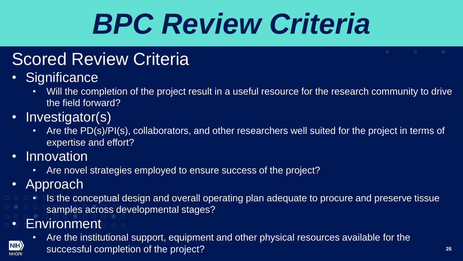# *BPC Review Criteria*

### Scored Review Criteria

- Significance
	- Will the completion of the project result in a useful resource for the research community to drive the field forward?
- Investigator(s)
	- **expertise and effort?**<br>เด∨ation • Are the PD(s)/PI(s), collaborators, and other researchers well suited for the project in terms of
- Innovation
	- Are novel strategies employed to ensure success of the project?
- Approach

 $\vert$  NIH $\rangle$ **NHGRI** 

- Is the conceptual design and overall operating plan adequate to procure and preserve tissue samples across developmental stages?
- **Environment** 
	- $\overline{C}$ • Are the institutional support, equipment and other physical resources available for the successful completion of the project? **26**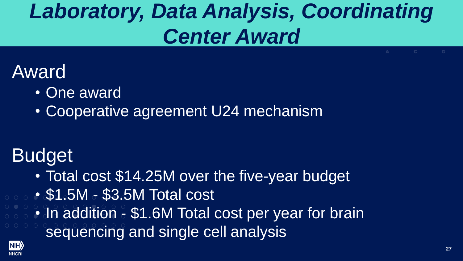### *Laboratory, Data Analysis, Coordinating Center Award*

#### Award

- One award
- Cooperative agreement U24 mechanism

#### Lank<br>Lenk Budget

- Total cost \$14.25M over the five-year budget
- \$1.5M \$3.5M Total cost
- prontice in the second second second second second second second second second second second second second second second second second second second second second second second second second second second second second sec sequencing and single cell analysis • In addition - \$1.6M Total cost per year for brain

![](_page_26_Picture_8.jpeg)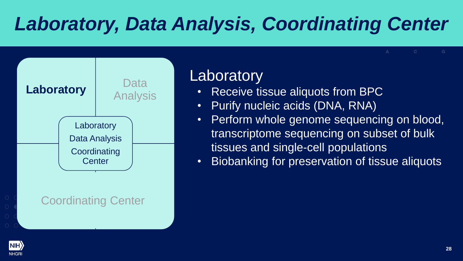### *Laboratory, Data Analysis, Coordinating Center*

![](_page_27_Figure_1.jpeg)

#### **Laboratory**

- Receive tissue aliquots from BPC
- Purify nucleic acids (DNA, RNA)
- Perform whole genome sequencing on blood, transcriptome sequencing on subset of bulk tissues and single-cell populations
- Biobanking for preservation of tissue aliquots

![](_page_27_Picture_7.jpeg)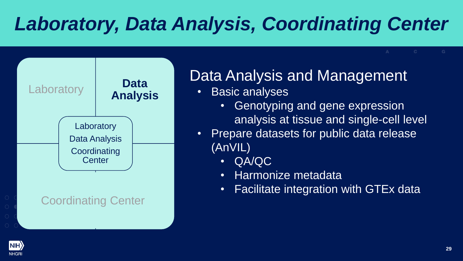### *Laboratory, Data Analysis, Coordinating Center*

![](_page_28_Figure_1.jpeg)

#### Data Analysis and Management

- Basic analyses
	- Genotyping and gene expression analysis at tissue and single-cell level
- Prepare datasets for public data release (AnVIL)
	- QA/QC
	- Harmonize metadata
	- Facilitate integration with GTEx data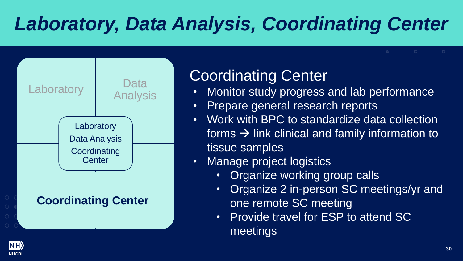### *Laboratory, Data Analysis, Coordinating Center*

![](_page_29_Figure_1.jpeg)

#### Coordinating Center

- Monitor study progress and lab performance
- Prepare general research reports
- Work with BPC to standardize data collection forms  $\rightarrow$  link clinical and family information to tissue samples
- Manage project logistics
	- Organize working group calls
	- Organize 2 in-person SC meetings/yr and one remote SC meeting
	- Provide travel for ESP to attend SC meetings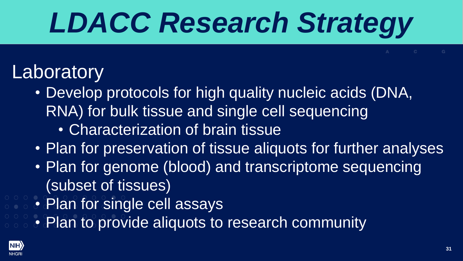# *LDACC Research Strategy*

### **Laboratory**

- Develop protocols for high quality nucleic acids (DNA, RNA) for bulk tissue and single cell sequencing
	- Characterization of brain tissue
- Plan for preservation of tissue aliquots for further analyses
- Plan for genome (blood) and transcriptome sequencing (subset of tissues)
- Plan for single cell assays
- Plan to provide aliquots to research community

![](_page_30_Picture_8.jpeg)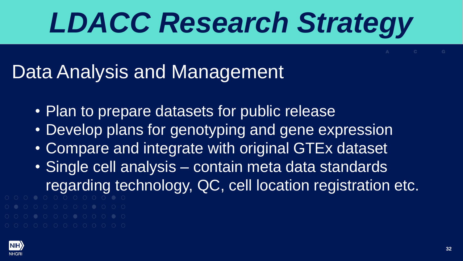# *LDACC Research Strategy*

### Data Analysis and Management

- Plan to prepare datasets for public release
- Develop plans for genotyping and gene expression
- Compare and integrate with original GTEx dataset
- Single cell analysis contain meta data standards regarding technology, QC, cell location registration etc.
- 
- 

![](_page_31_Picture_8.jpeg)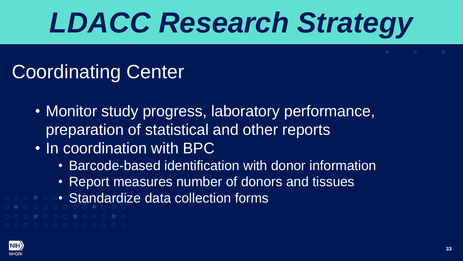# *LDACC Research Strategy*

### Coordinating Center

- Monitor study progress, laboratory performance, preparation of statistical and other reports
- In coordination with BPC
	- Barcode-based identification with donor information
	- Report measures number of donors and tissues
- Standardize data collection forms

![](_page_32_Picture_7.jpeg)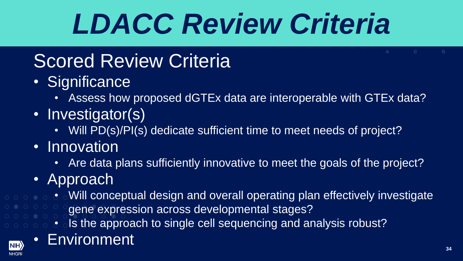# *LDACC Review Criteria*

#### Laboratory Scored Review Criteria

- Significance
	- Assess how proposed dGTEx data are interoperable with GTEx data?
- Investigator(s)
	- Will PD(s)/PI(s) dedicate sufficient time to meet needs of project?
- Innovation
	- Are data plans sufficiently innovative to meet the goals of the project?
- Approach
- Will conceptual design and overall operating plan effectively investigate
	- gene expression across developmental stages?
	- $\cdot$  Is the approach to single cell sequencing and analysis robust?

![](_page_33_Picture_12.jpeg)

#### **Environment**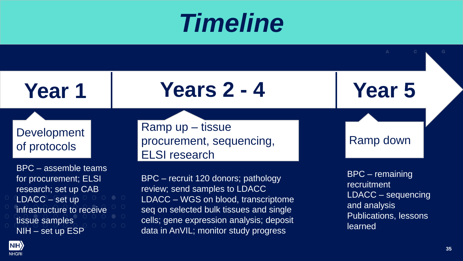### *Timeline*

**Year 1**

### **Years 2 - 4**

**Development** of protocols

BPC – assemble teams for procurement; ELSI research; set up CAB LDACC – set up infrastructure to receive tissue samples NIH – set up ESP

Ramp up – tissue procurement, sequencing, ELSI research

BPC – recruit 120 donors; pathology review; send samples to LDACC LDACC – WGS on blood, transcriptome seq on selected bulk tissues and single cells; gene expression analysis; deposit data in AnVIL; monitor study progress

Ramp down

**Year 5**

BPC – remaining recruitment LDACC – sequencing and analysis Publications, lessons learned

![](_page_34_Picture_9.jpeg)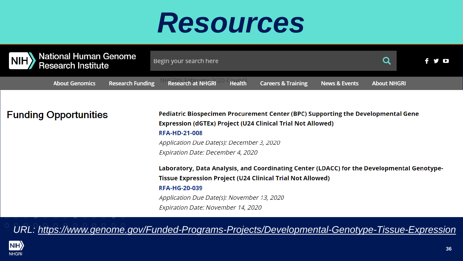### *Resources*

![](_page_35_Picture_1.jpeg)

#### **Funding Opportunities**

Pediatric Biospecimen Procurement Center (BPC) Supporting the Developmental Gene Expression (dGTEx) Project (U24 Clinical Trial Not Allowed) **RFA-HD-21-008** Application Due Date(s): December 3, 2020 Expiration Date: December 4, 2020 Laboratory, Data Analysis, and Coordinating Center (LDACC) for the Developmental Genotype-

**Tissue Expression Project (U24 Clinical Trial Not Allowed)** 

#### **RFA-HG-20-039**

Application Due Date(s): November 13, 2020 Expiration Date: November 14, 2020

*URL:<https://www.genome.gov/Funded-Programs-Projects/Developmental-Genotype-Tissue-Expression>*

![](_page_35_Picture_8.jpeg)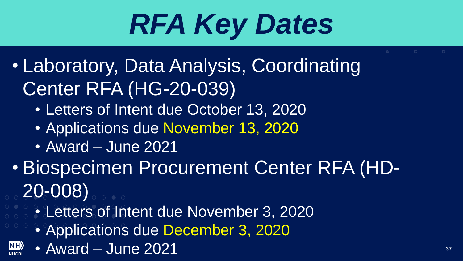# *RFA Key Dates*

- $\frac{1}{2}$ • Laboratory, Data Analysis, Coordinating Center RFA (HG-20-039)
	- Letters of Intent due October 13, 2020
	- Applications due November 13, 2020
	- Award June 2021
- $\overline{\phantom{a}}$ • Biospecimen Procurement Center RFA (HD-20-008)
	- Letters of Intent due November 3, 2020
		- **Coordination** • Applications due December 3, 2020
		- Award June 2021 **37**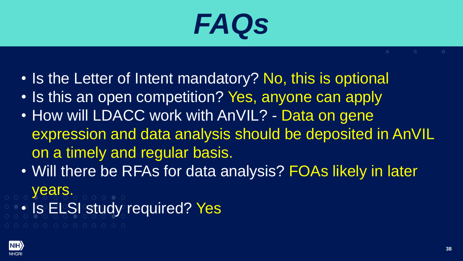### *FAQs*

- Is the Letter of Intent mandatory? No, this is optional
- Is this an open competition? Yes, anyone can apply
- n<sup>'</sup> a timely and regular b iai pač • How will LDACC work with AnVIL? - Data on gene expression and data analysis should be deposited in AnVIL on a timely and regular basis.
- Will there be RFAs for data analysis? FOAs likely in later years.
- Is ELSI study required? Yes

![](_page_37_Picture_7.jpeg)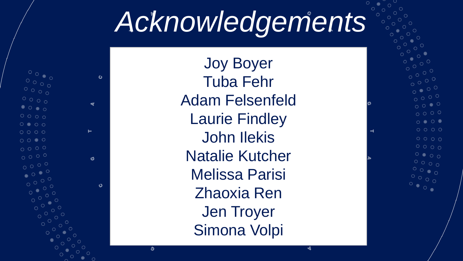### *Acknowledgements*

 $\mathbf{c}$  $\begin{array}{c} 0 & 0 & 0 \\ 0 & 0 & 0 \\ 0 & 0 & 0 \end{array}$  $\circ \circ \circ \circ \circ$  $\bullet \circ \bullet \circ$  $0000$  $0 0 0 0$ Н  $\circ \circ \circ \circ \circ$  $O$   $O$   $\bullet$   $O$  $0000$  $0000$ ඦ  $\circ$   $\circ$  $\bigcap$ Ő

Joy Boyer Tuba Fehr Adam Felsenfeld Laurie Findley John Ilekis Natalie Kutcher Melissa Parisi Zhaoxia Ren Jen Troyer Simona Volpi

O

![](_page_38_Picture_3.jpeg)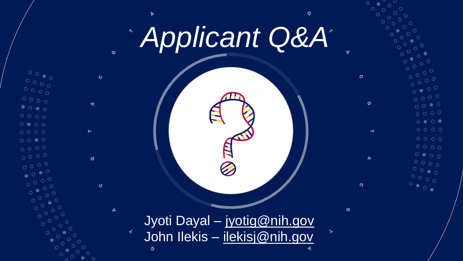![](_page_39_Picture_0.jpeg)